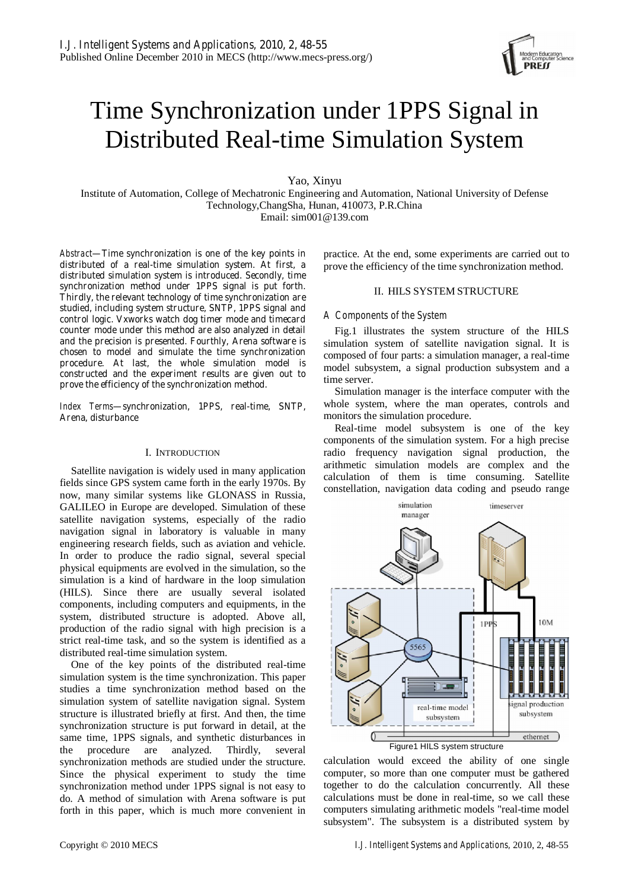# Time Synchronization under 1PPS Signal in Distributed Real-time Simulation System

Yao, Xinyu

Institute of Automation, College of Mechatronic Engineering and Automation, National University of Defense Technology,ChangSha, Hunan, 410073, P.R.China Email: sim001@139.com

*Abstract***—Time synchronization is one of the key points in distributed of a real-time simulation system. At first, a distributed simulation system is introduced. Secondly, time synchronization method under 1PPS signal is put forth. Thirdly, the relevant technology of time synchronization are studied, including system structure, SNTP, 1PPS signal and control logic. Vxworks watch dog timer mode and timecard counter mode under this method are also analyzed in detail and the precision is presented. Fourthly, Arena software is chosen to model and simulate the time synchronization procedure. At last, the whole simulation model is constructed and the experiment results are given out to prove the efficiency of the synchronization method.** 

*Index Terms***—synchronization, 1PPS, real-time, SNTP, Arena, disturbance** 

#### I. INTRODUCTION

Satellite navigation is widely used in many application fields since GPS system came forth in the early 1970s. By now, many similar systems like GLONASS in Russia, GALILEO in Europe are developed. Simulation of these satellite navigation systems, especially of the radio navigation signal in laboratory is valuable in many engineering research fields, such as aviation and vehicle. In order to produce the radio signal, several special physical equipments are evolved in the simulation, so the simulation is a kind of hardware in the loop simulation (HILS). Since there are usually several isolated components, including computers and equipments, in the system, distributed structure is adopted. Above all, production of the radio signal with high precision is a strict real-time task, and so the system is identified as a distributed real-time simulation system.

One of the key points of the distributed real-time simulation system is the time synchronization. This paper studies a time synchronization method based on the simulation system of satellite navigation signal. System structure is illustrated briefly at first. And then, the time synchronization structure is put forward in detail, at the same time, 1PPS signals, and synthetic disturbances in the procedure are analyzed. Thirdly, several synchronization methods are studied under the structure. Since the physical experiment to study the time synchronization method under 1PPS signal is not easy to do. A method of simulation with Arena software is put forth in this paper, which is much more convenient in practice. At the end, some experiments are carried out to prove the efficiency of the time synchronization method.

## II. HILS SYSTEM STRUCTURE

# *A Components of the System*

Fig.1 illustrates the system structure of the HILS simulation system of satellite navigation signal. It is composed of four parts: a simulation manager, a real-time model subsystem, a signal production subsystem and a time server.

Simulation manager is the interface computer with the whole system, where the man operates, controls and monitors the simulation procedure.

Real-time model subsystem is one of the key components of the simulation system. For a high precise radio frequency navigation signal production, the arithmetic simulation models are complex and the calculation of them is time consuming. Satellite constellation, navigation data coding and pseudo range



calculation would exceed the ability of one single computer, so more than one computer must be gathered together to do the calculation concurrently. All these calculations must be done in real-time, so we call these computers simulating arithmetic models "real-time model subsystem". The subsystem is a distributed system by

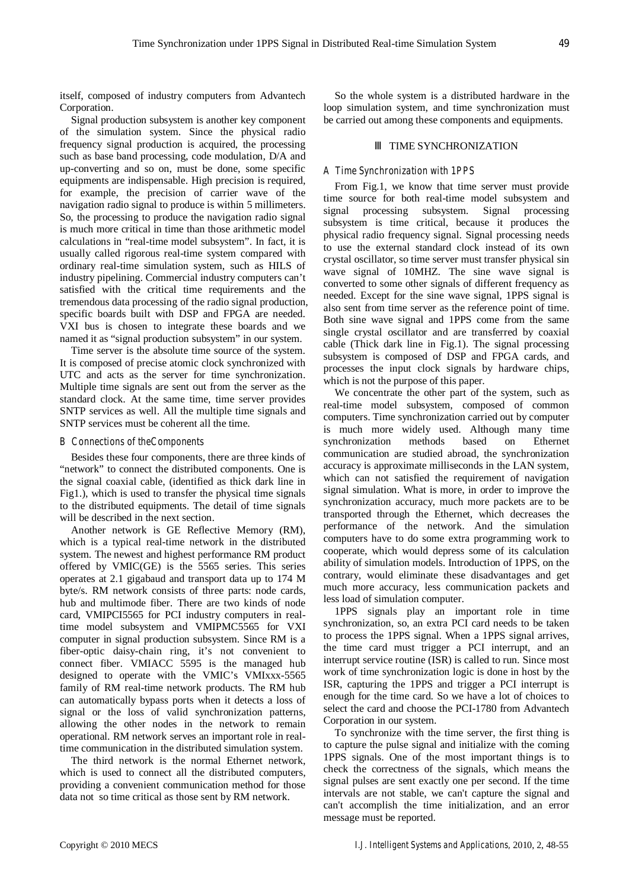itself, composed of industry computers from Advantech Corporation.

Signal production subsystem is another key component of the simulation system. Since the physical radio frequency signal production is acquired, the processing such as base band processing, code modulation, D/A and up-converting and so on, must be done, some specific equipments are indispensable. High precision is required, for example, the precision of carrier wave of the navigation radio signal to produce is within 5 millimeters. So, the processing to produce the navigation radio signal is much more critical in time than those arithmetic model calculations in "real-time model subsystem". In fact, it is usually called rigorous real-time system compared with ordinary real-time simulation system, such as HILS of industry pipelining. Commercial industry computers can't satisfied with the critical time requirements and the tremendous data processing of the radio signal production, specific boards built with DSP and FPGA are needed. VXI bus is chosen to integrate these boards and we named it as "signal production subsystem" in our system.

Time server is the absolute time source of the system. It is composed of precise atomic clock synchronized with UTC and acts as the server for time synchronization. Multiple time signals are sent out from the server as the standard clock. At the same time, time server provides SNTP services as well. All the multiple time signals and SNTP services must be coherent all the time.

# *B Connections of theComponents*

Besides these four components, there are three kinds of "network" to connect the distributed components. One is the signal coaxial cable, (identified as thick dark line in Fig1.), which is used to transfer the physical time signals to the distributed equipments. The detail of time signals will be described in the next section.

Another network is GE Reflective Memory (RM), which is a typical real-time network in the distributed system. The newest and highest performance RM product offered by VMIC(GE) is the 5565 series. This series operates at 2.1 gigabaud and transport data up to 174 M byte/s. RM network consists of three parts: node cards, hub and multimode fiber. There are two kinds of node card, VMIPCI5565 for PCI industry computers in realtime model subsystem and VMIPMC5565 for VXI computer in signal production subsystem. Since RM is a fiber-optic daisy-chain ring, it's not convenient to connect fiber. VMIACC 5595 is the managed hub designed to operate with the VMIC's VMIxxx-5565 family of RM real-time network products. The RM hub can automatically bypass ports when it detects a loss of signal or the loss of valid synchronization patterns, allowing the other nodes in the network to remain operational. RM network serves an important role in realtime communication in the distributed simulation system.

The third network is the normal Ethernet network, which is used to connect all the distributed computers, providing a convenient communication method for those data not so time critical as those sent by RM network.

So the whole system is a distributed hardware in the loop simulation system, and time synchronization must be carried out among these components and equipments.

# TIME SYNCHRONIZATION

# *A Time Synchronization with 1PPS*

From Fig.1, we know that time server must provide time source for both real-time model subsystem and signal processing subsystem. Signal processing subsystem is time critical, because it produces the physical radio frequency signal. Signal processing needs to use the external standard clock instead of its own crystal oscillator, so time server must transfer physical sin wave signal of 10MHZ. The sine wave signal is converted to some other signals of different frequency as needed. Except for the sine wave signal, 1PPS signal is also sent from time server as the reference point of time. Both sine wave signal and 1PPS come from the same single crystal oscillator and are transferred by coaxial cable (Thick dark line in Fig.1). The signal processing subsystem is composed of DSP and FPGA cards, and processes the input clock signals by hardware chips, which is not the purpose of this paper.

We concentrate the other part of the system, such as real-time model subsystem, composed of common computers. Time synchronization carried out by computer is much more widely used. Although many time synchronization methods based on Ethernet communication are studied abroad, the synchronization accuracy is approximate milliseconds in the LAN system, which can not satisfied the requirement of navigation signal simulation. What is more, in order to improve the synchronization accuracy, much more packets are to be transported through the Ethernet, which decreases the performance of the network. And the simulation computers have to do some extra programming work to cooperate, which would depress some of its calculation ability of simulation models. Introduction of 1PPS, on the contrary, would eliminate these disadvantages and get much more accuracy, less communication packets and less load of simulation computer.

1PPS signals play an important role in time synchronization, so, an extra PCI card needs to be taken to process the 1PPS signal. When a 1PPS signal arrives, the time card must trigger a PCI interrupt, and an interrupt service routine (ISR) is called to run. Since most work of time synchronization logic is done in host by the ISR, capturing the 1PPS and trigger a PCI interrupt is enough for the time card. So we have a lot of choices to select the card and choose the PCI-1780 from Advantech Corporation in our system.

To synchronize with the time server, the first thing is to capture the pulse signal and initialize with the coming 1PPS signals. One of the most important things is to check the correctness of the signals, which means the signal pulses are sent exactly one per second. If the time intervals are not stable, we can't capture the signal and can't accomplish the time initialization, and an error message must be reported.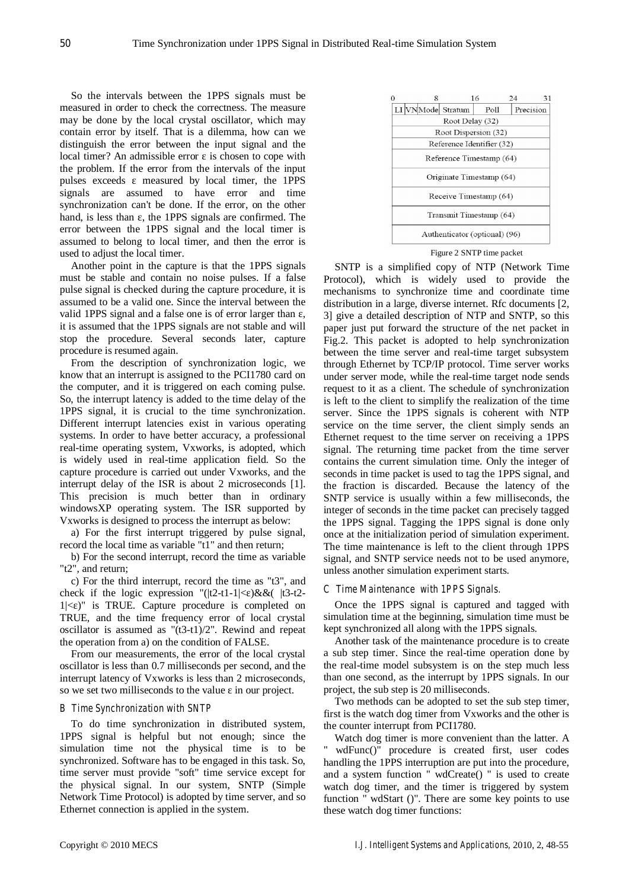So the intervals between the 1PPS signals must be measured in order to check the correctness. The measure may be done by the local crystal oscillator, which may contain error by itself. That is a dilemma, how can we distinguish the error between the input signal and the local timer? An admissible error is chosen to cope with the problem. If the error from the intervals of the input pulses exceeds measured by local timer, the 1PPS signals are assumed to have error and time synchronization can't be done. If the error, on the other hand, is less than, the 1PPS signals are confirmed. The error between the 1PPS signal and the local timer is assumed to belong to local timer, and then the error is used to adjust the local timer.

Another point in the capture is that the 1PPS signals must be stable and contain no noise pulses. If a false pulse signal is checked during the capture procedure, it is assumed to be a valid one. Since the interval between the valid 1PPS signal and a false one is of error larger than, it is assumed that the 1PPS signals are not stable and will stop the procedure. Several seconds later, capture procedure is resumed again.

From the description of synchronization logic, we know that an interrupt is assigned to the PCI1780 card on the computer, and it is triggered on each coming pulse. So, the interrupt latency is added to the time delay of the 1PPS signal, it is crucial to the time synchronization. Different interrupt latencies exist in various operating systems. In order to have better accuracy, a professional real-time operating system, Vxworks, is adopted, which is widely used in real-time application field. So the capture procedure is carried out under Vxworks, and the interrupt delay of the ISR is about 2 microseconds [1]. This precision is much better than in ordinary windowsXP operating system. The ISR supported by Vxworks is designed to process the interrupt as below:

a) For the first interrupt triggered by pulse signal, record the local time as variable "t1" and then return;

b) For the second interrupt, record the time as variable "t2", and return;

c) For the third interrupt, record the time as "t3", and check if the logic expression " $(|t2-t1-1|<|)$ &&(  $|t3-t2 1$ |< )" is TRUE. Capture procedure is completed on TRUE, and the time frequency error of local crystal oscillator is assumed as "(t3-t1)/2". Rewind and repeat the operation from a) on the condition of FALSE.

From our measurements, the error of the local crystal oscillator is less than 0.7 milliseconds per second, and the interrupt latency of Vxworks is less than 2 microseconds, so we set two milliseconds to the value in our project.

#### *B Time Synchronization with SNTP*

To do time synchronization in distributed system, 1PPS signal is helpful but not enough; since the simulation time not the physical time is to be synchronized. Software has to be engaged in this task. So, time server must provide "soft" time service except for the physical signal. In our system, SNTP (Simple Network Time Protocol) is adopted by time server, and so Ethernet connection is applied in the system.

|                           |                               | 8 |                   | 16    | 24 | 31        |  |
|---------------------------|-------------------------------|---|-------------------|-------|----|-----------|--|
|                           |                               |   | LI VNMode Stratum | Poll. |    | Precision |  |
| Root Delay (32)           |                               |   |                   |       |    |           |  |
| Root Dispersion (32)      |                               |   |                   |       |    |           |  |
| Reference Identifier (32) |                               |   |                   |       |    |           |  |
| Reference Timestamp (64)  |                               |   |                   |       |    |           |  |
| Originate Timestamp (64)  |                               |   |                   |       |    |           |  |
|                           | Receive Timestamp (64)        |   |                   |       |    |           |  |
|                           | Transmit Timestamp (64)       |   |                   |       |    |           |  |
|                           | Authenticator (optional) (96) |   |                   |       |    |           |  |

Figure 2 SNTP time packet

SNTP is a simplified copy of NTP (Network Time Protocol), which is widely used to provide the mechanisms to synchronize time and coordinate time distribution in a large, diverse internet. Rfc documents [2, 3] give a detailed description of NTP and SNTP, so this paper just put forward the structure of the net packet in Fig.2. This packet is adopted to help synchronization between the time server and real-time target subsystem through Ethernet by TCP/IP protocol. Time server works under server mode, while the real-time target node sends request to it as a client. The schedule of synchronization is left to the client to simplify the realization of the time server. Since the 1PPS signals is coherent with NTP service on the time server, the client simply sends an Ethernet request to the time server on receiving a 1PPS signal. The returning time packet from the time server contains the current simulation time. Only the integer of seconds in time packet is used to tag the 1PPS signal, and the fraction is discarded. Because the latency of the SNTP service is usually within a few milliseconds, the integer of seconds in the time packet can precisely tagged the 1PPS signal. Tagging the 1PPS signal is done only once at the initialization period of simulation experiment. The time maintenance is left to the client through 1PPS signal, and SNTP service needs not to be used anymore, unless another simulation experiment starts.

## *C Time Maintenance with 1PPS Signals.*

Once the 1PPS signal is captured and tagged with simulation time at the beginning, simulation time must be kept synchronized all along with the 1PPS signals.

Another task of the maintenance procedure is to create a sub step timer. Since the real-time operation done by the real-time model subsystem is on the step much less than one second, as the interrupt by 1PPS signals. In our project, the sub step is 20 milliseconds.

Two methods can be adopted to set the sub step timer, first is the watch dog timer from Vxworks and the other is the counter interrupt from PCI1780.

Watch dog timer is more convenient than the latter. A " wdFunc()" procedure is created first, user codes handling the 1PPS interruption are put into the procedure, and a system function " wdCreate() " is used to create watch dog timer, and the timer is triggered by system function " wdStart ()". There are some key points to use these watch dog timer functions: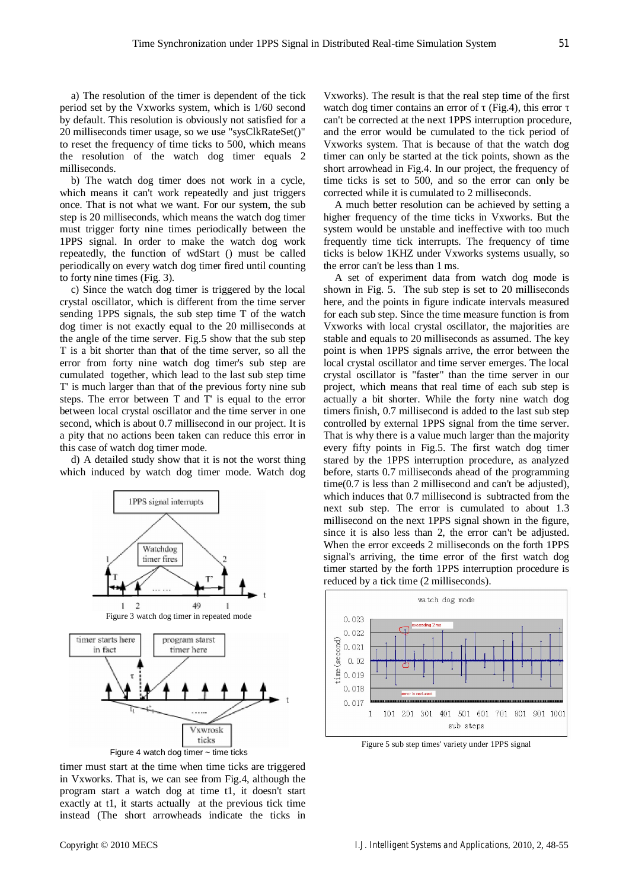a) The resolution of the timer is dependent of the tick period set by the Vxworks system, which is 1/60 second by default. This resolution is obviously not satisfied for a 20 milliseconds timer usage, so we use "sysClkRateSet()" to reset the frequency of time ticks to 500, which means the resolution of the watch dog timer equals 2 milliseconds.

b) The watch dog timer does not work in a cycle, which means it can't work repeatedly and just triggers once. That is not what we want. For our system, the sub step is 20 milliseconds, which means the watch dog timer must trigger forty nine times periodically between the 1PPS signal. In order to make the watch dog work repeatedly, the function of wdStart () must be called periodically on every watch dog timer fired until counting to forty nine times (Fig. 3).

c) Since the watch dog timer is triggered by the local crystal oscillator, which is different from the time server sending 1PPS signals, the sub step time T of the watch dog timer is not exactly equal to the 20 milliseconds at the angle of the time server. Fig.5 show that the sub step T is a bit shorter than that of the time server, so all the error from forty nine watch dog timer's sub step are cumulated together, which lead to the last sub step time T' is much larger than that of the previous forty nine sub steps. The error between T and T' is equal to the error between local crystal oscillator and the time server in one second, which is about 0.7 millisecond in our project. It is a pity that no actions been taken can reduce this error in this case of watch dog timer mode.

d) A detailed study show that it is not the worst thing which induced by watch dog timer mode. Watch dog



Figure 4 watch dog timer ~ time ticks

timer must start at the time when time ticks are triggered in Vxworks. That is, we can see from Fig.4, although the program start a watch dog at time t1, it doesn't start exactly at t1, it starts actually at the previous tick time instead (The short arrowheads indicate the ticks in

Vxworks). The result is that the real step time of the first watch dog timer contains an error of (Fig.4), this error can't be corrected at the next 1PPS interruption procedure, and the error would be cumulated to the tick period of Vxworks system. That is because of that the watch dog timer can only be started at the tick points, shown as the short arrowhead in Fig.4. In our project, the frequency of time ticks is set to 500, and so the error can only be corrected while it is cumulated to 2 milliseconds.

A much better resolution can be achieved by setting a higher frequency of the time ticks in Vxworks. But the system would be unstable and ineffective with too much frequently time tick interrupts. The frequency of time ticks is below 1KHZ under Vxworks systems usually, so the error can't be less than 1 ms.

A set of experiment data from watch dog mode is shown in Fig. 5. The sub step is set to 20 milliseconds here, and the points in figure indicate intervals measured for each sub step. Since the time measure function is from Vxworks with local crystal oscillator, the majorities are stable and equals to 20 milliseconds as assumed. The key point is when 1PPS signals arrive, the error between the local crystal oscillator and time server emerges. The local crystal oscillator is "faster" than the time server in our project, which means that real time of each sub step is actually a bit shorter. While the forty nine watch dog timers finish, 0.7 millisecond is added to the last sub step controlled by external 1PPS signal from the time server. That is why there is a value much larger than the majority every fifty points in Fig.5. The first watch dog timer stared by the 1PPS interruption procedure, as analyzed before, starts 0.7 milliseconds ahead of the programming time(0.7 is less than 2 millisecond and can't be adjusted), which induces that 0.7 millisecond is subtracted from the next sub step. The error is cumulated to about 1.3 millisecond on the next 1PPS signal shown in the figure, since it is also less than 2, the error can't be adjusted. When the error exceeds 2 milliseconds on the forth 1PPS signal's arriving, the time error of the first watch dog timer started by the forth 1PPS interruption procedure is reduced by a tick time (2 milliseconds).



Figure 5 sub step times' variety under 1PPS signal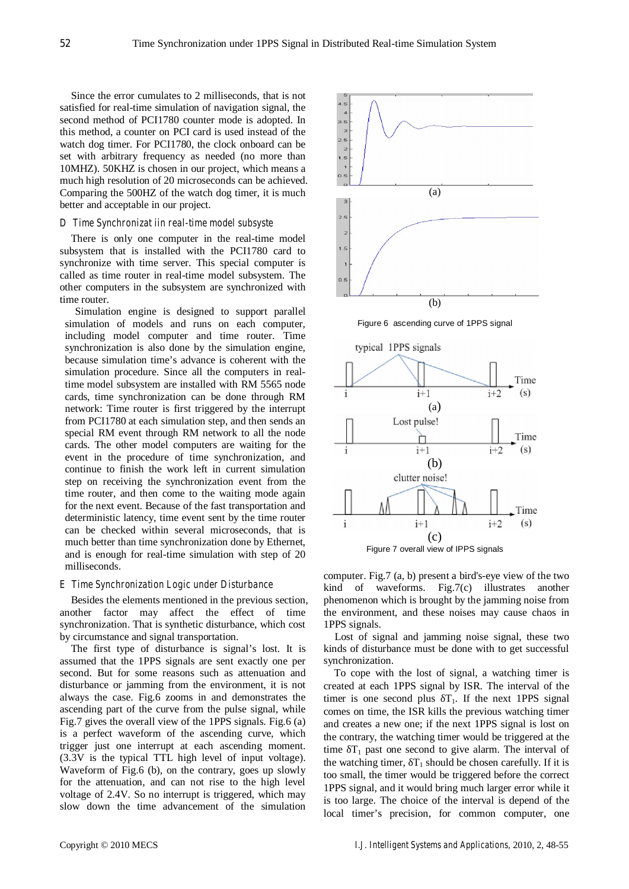Since the error cumulates to 2 milliseconds, that is not satisfied for real-time simulation of navigation signal, the second method of PCI1780 counter mode is adopted. In this method, a counter on PCI card is used instead of the watch dog timer. For PCI1780, the clock onboard can be set with arbitrary frequency as needed (no more than 10MHZ). 50KHZ is chosen in our project, which means a much high resolution of 20 microseconds can be achieved. Comparing the 500HZ of the watch dog timer, it is much better and acceptable in our project.

### *D Time Synchronizat iin real-time model subsyste*

There is only one computer in the real-time model subsystem that is installed with the PCI1780 card to synchronize with time server. This special computer is called as time router in real-time model subsystem. The other computers in the subsystem are synchronized with time router.

Simulation engine is designed to support parallel simulation of models and runs on each computer, including model computer and time router. Time synchronization is also done by the simulation engine, because simulation time's advance is coherent with the simulation procedure. Since all the computers in realtime model subsystem are installed with RM 5565 node cards, time synchronization can be done through RM network: Time router is first triggered by the interrupt from PCI1780 at each simulation step, and then sends an special RM event through RM network to all the node cards. The other model computers are waiting for the event in the procedure of time synchronization, and continue to finish the work left in current simulation step on receiving the synchronization event from the time router, and then come to the waiting mode again for the next event. Because of the fast transportation and deterministic latency, time event sent by the time router can be checked within several microseconds, that is much better than time synchronization done by Ethernet, and is enough for real-time simulation with step of 20 milliseconds.

# *E Time Synchronization Logic under Disturbance*

Besides the elements mentioned in the previous section, another factor may affect the effect of time synchronization. That is synthetic disturbance, which cost by circumstance and signal transportation.

The first type of disturbance is signal's lost. It is assumed that the 1PPS signals are sent exactly one per second. But for some reasons such as attenuation and disturbance or jamming from the environment, it is not always the case. Fig.6 zooms in and demonstrates the ascending part of the curve from the pulse signal, while Fig.7 gives the overall view of the 1PPS signals. Fig.6 (a) is a perfect waveform of the ascending curve, which trigger just one interrupt at each ascending moment. (3.3V is the typical TTL high level of input voltage). Waveform of Fig.6 (b), on the contrary, goes up slowly for the attenuation, and can not rise to the high level voltage of 2.4V. So no interrupt is triggered, which may slow down the time advancement of the simulation



Figure 6 ascending curve of 1PPS signal





computer. Fig.7 (a, b) present a bird's-eye view of the two kind of waveforms. Fig.7(c) illustrates another phenomenon which is brought by the jamming noise from the environment, and these noises may cause chaos in 1PPS signals.

Lost of signal and jamming noise signal, these two kinds of disturbance must be done with to get successful synchronization.

To cope with the lost of signal, a watching timer is created at each 1PPS signal by ISR. The interval of the timer is one second plus  $T_1$ . If the next 1PPS signal comes on time, the ISR kills the previous watching timer and creates a new one; if the next 1PPS signal is lost on the contrary, the watching timer would be triggered at the time  $T_1$  past one second to give alarm. The interval of the watching timer,  $T_1$  should be chosen carefully. If it is too small, the timer would be triggered before the correct 1PPS signal, and it would bring much larger error while it is too large. The choice of the interval is depend of the local timer's precision, for common computer, one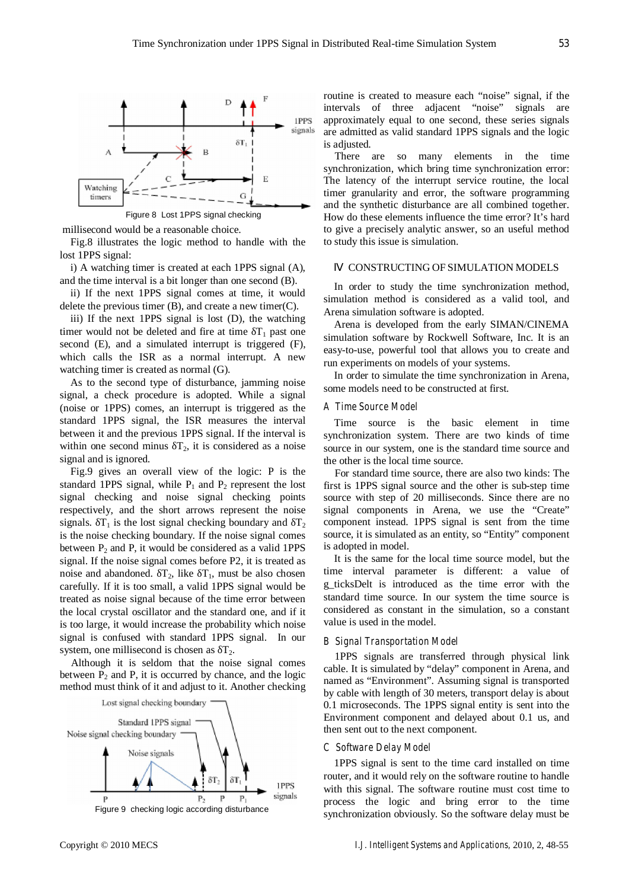

millisecond would be a reasonable choice.

Fig.8 illustrates the logic method to handle with the lost 1PPS signal:

i) A watching timer is created at each 1PPS signal (A), and the time interval is a bit longer than one second (B).

ii) If the next 1PPS signal comes at time, it would delete the previous timer (B), and create a new timer(C).

iii) If the next 1PPS signal is lost (D), the watching timer would not be deleted and fire at time  $T_1$  past one second (E), and a simulated interrupt is triggered (F), which calls the ISR as a normal interrupt. A new watching timer is created as normal (G).

As to the second type of disturbance, jamming noise signal, a check procedure is adopted. While a signal (noise or 1PPS) comes, an interrupt is triggered as the standard 1PPS signal, the ISR measures the interval between it and the previous 1PPS signal. If the interval is within one second minus  $T_2$ , it is considered as a noise signal and is ignored.

Fig.9 gives an overall view of the logic: P is the standard 1PPS signal, while  $P_1$  and  $P_2$  represent the lost signal checking and noise signal checking points respectively, and the short arrows represent the noise signals.  $T_1$  is the lost signal checking boundary and  $T_2$ is the noise checking boundary. If the noise signal comes between  $P_2$  and P, it would be considered as a valid 1PPS signal. If the noise signal comes before P2, it is treated as noise and abandoned.  $T_2$ , like  $T_1$ , must be also chosen carefully. If it is too small, a valid 1PPS signal would be treated as noise signal because of the time error between the local crystal oscillator and the standard one, and if it is too large, it would increase the probability which noise signal is confused with standard 1PPS signal. In our system, one millisecond is chosen as  $T_2$ .

Although it is seldom that the noise signal comes between  $P_2$  and P, it is occurred by chance, and the logic method must think of it and adjust to it. Another checking



routine is created to measure each "noise" signal, if the intervals of three adjacent "noise" signals are approximately equal to one second, these series signals are admitted as valid standard 1PPS signals and the logic is adjusted.

There are so many elements in the time synchronization, which bring time synchronization error: The latency of the interrupt service routine, the local timer granularity and error, the software programming and the synthetic disturbance are all combined together. How do these elements influence the time error? It's hard to give a precisely analytic answer, so an useful method to study this issue is simulation.

## CONSTRUCTING OF SIMULATION MODELS

In order to study the time synchronization method, simulation method is considered as a valid tool, and Arena simulation software is adopted.

Arena is developed from the early SIMAN/CINEMA simulation software by Rockwell Software, Inc. It is an easy-to-use, powerful tool that allows you to create and run experiments on models of your systems.

In order to simulate the time synchronization in Arena, some models need to be constructed at first.

#### *A Time Source Model*

Time source is the basic element in time synchronization system. There are two kinds of time source in our system, one is the standard time source and the other is the local time source.

For standard time source, there are also two kinds: The first is 1PPS signal source and the other is sub-step time source with step of 20 milliseconds. Since there are no signal components in Arena, we use the "Create" component instead. 1PPS signal is sent from the time source, it is simulated as an entity, so "Entity" component is adopted in model.

It is the same for the local time source model, but the time interval parameter is different: a value of g\_ticksDelt is introduced as the time error with the standard time source. In our system the time source is considered as constant in the simulation, so a constant value is used in the model.

#### *B Signal Transportation Model*

1PPS signals are transferred through physical link cable. It is simulated by "delay" component in Arena, and named as "Environment". Assuming signal is transported by cable with length of 30 meters, transport delay is about 0.1 microseconds. The 1PPS signal entity is sent into the Environment component and delayed about 0.1 us, and then sent out to the next component.

# *C Software Delay Model*

1PPS signal is sent to the time card installed on time router, and it would rely on the software routine to handle with this signal. The software routine must cost time to process the logic and bring error to the time Figure 9 checking logic according disturbance<br>synchronization obviously. So the software delay must be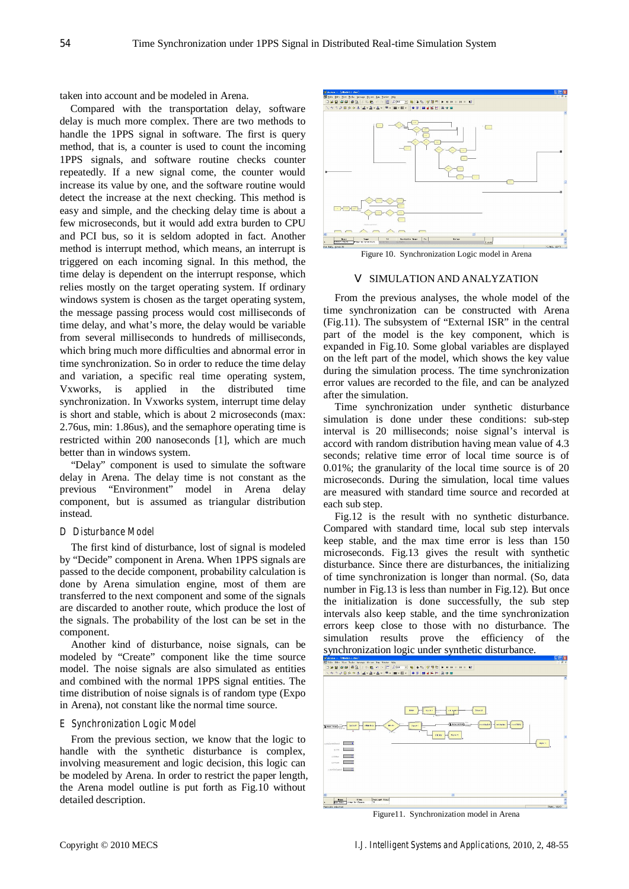taken into account and be modeled in Arena.

Compared with the transportation delay, software delay is much more complex. There are two methods to handle the 1PPS signal in software. The first is query method, that is, a counter is used to count the incoming 1PPS signals, and software routine checks counter repeatedly. If a new signal come, the counter would increase its value by one, and the software routine would detect the increase at the next checking. This method is easy and simple, and the checking delay time is about a few microseconds, but it would add extra burden to CPU and PCI bus, so it is seldom adopted in fact. Another method is interrupt method, which means, an interrupt is triggered on each incoming signal. In this method, the time delay is dependent on the interrupt response, which relies mostly on the target operating system. If ordinary windows system is chosen as the target operating system, the message passing process would cost milliseconds of time delay, and what's more, the delay would be variable from several milliseconds to hundreds of milliseconds, which bring much more difficulties and abnormal error in time synchronization. So in order to reduce the time delay and variation, a specific real time operating system, Vxworks, is applied in the distributed time synchronization. In Vxworks system, interrupt time delay is short and stable, which is about 2 microseconds (max: 2.76us, min: 1.86us), and the semaphore operating time is restricted within 200 nanoseconds [1], which are much better than in windows system.

"Delay" component is used to simulate the software delay in Arena. The delay time is not constant as the previous "Environment" model in Arena delay component, but is assumed as triangular distribution instead.

#### *D Disturbance Model*

The first kind of disturbance, lost of signal is modeled by "Decide" component in Arena. When 1PPS signals are passed to the decide component, probability calculation is done by Arena simulation engine, most of them are transferred to the next component and some of the signals are discarded to another route, which produce the lost of the signals. The probability of the lost can be set in the component.

Another kind of disturbance, noise signals, can be modeled by "Create" component like the time source model. The noise signals are also simulated as entities and combined with the normal 1PPS signal entities. The time distribution of noise signals is of random type (Expo in Arena), not constant like the normal time source.

#### *E Synchronization Logic Model*

From the previous section, we know that the logic to handle with the synthetic disturbance is complex, involving measurement and logic decision, this logic can be modeled by Arena. In order to restrict the paper length, the Arena model outline is put forth as Fig.10 without detailed description.



Figure 10. Synchronization Logic model in Arena

#### SIMULATION AND ANALYZATION

From the previous analyses, the whole model of the time synchronization can be constructed with Arena (Fig.11). The subsystem of "External ISR" in the central part of the model is the key component, which is expanded in Fig.10. Some global variables are displayed on the left part of the model, which shows the key value during the simulation process. The time synchronization error values are recorded to the file, and can be analyzed after the simulation.

Time synchronization under synthetic disturbance simulation is done under these conditions: sub-step interval is 20 milliseconds; noise signal's interval is accord with random distribution having mean value of 4.3 seconds; relative time error of local time source is of 0.01%; the granularity of the local time source is of 20 microseconds. During the simulation, local time values are measured with standard time source and recorded at each sub step.

Fig.12 is the result with no synthetic disturbance. Compared with standard time, local sub step intervals keep stable, and the max time error is less than 150 microseconds. Fig.13 gives the result with synthetic disturbance. Since there are disturbances, the initializing of time synchronization is longer than normal. (So, data number in Fig.13 is less than number in Fig.12). But once the initialization is done successfully, the sub step intervals also keep stable, and the time synchronization errors keep close to those with no disturbance. The simulation results prove the efficiency of the synchronization logic under synthetic disturbance.



Figure11. Synchronization model in Arena